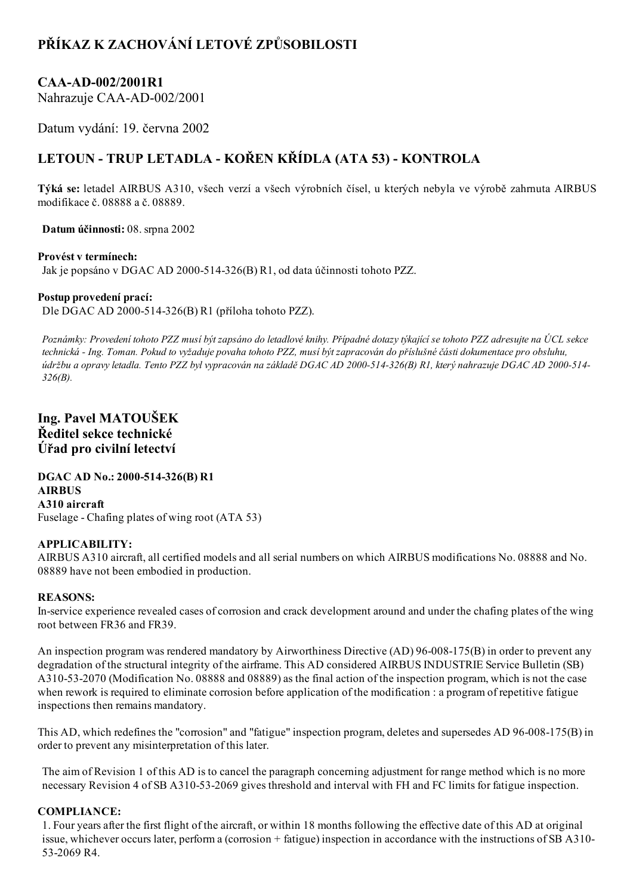# PŘÍKAZ K ZACHOVÁNÍ LETOVÉ ZPŮSOBILOSTI

### CAA-AD-002/2001R1

Nahrazuje CAA-AD-002/2001

Datum vydání: 19. června 2002

## LETOUN - TRUP LETADLA - KOŘEN KŘÍDLA (ATA 53) - KONTROLA

Týká se: letadel AIRBUS A310, všech verzí a všech výrobních čísel, u kterých nebyla ve výrobě zahrnuta AIRBUS modifikace č. 08888 a č. 08889.

Datum účinnosti: 08. srpna 2002

#### Provést v termínech:

Jak je popsáno v DGAC AD 2000-514-326(B) R1, od data účinnosti tohoto PZZ.

#### Postup provedení prací:

Dle DGAC AD 2000-514-326(B) R1 (příloha tohoto PZZ).

Poznámky: Provedení tohoto PZZ musí být zapsáno do letadlové knihy. Případné dotazy týkající se tohoto PZZ adresujte na ÚCL sekce technická Ing. Toman. Pokud to vyžaduje povaha tohoto PZZ, musí být zapracován do příslušné části dokumentace pro obsluhu, údržbu a opravy letadla. Tento PZZ byl vypracován na základě DGAC AD 2000-514-326(B) R1, který nahrazuje DGAC AD 2000-514-326(B).

Ing. Pavel MATOUŠEK Ředitel sekce technické Úřad pro civilní letectví

DGAC AD No.: 2000-514-326(B) R1 AIRBUS A310 aircraft Fuselage - Chafing plates of wing root (ATA 53)

#### APPLICABILITY:

AIRBUS A310 aircraft, all certified models and all serial numbers on which AIRBUS modifications No. 08888 and No. 08889 have not been embodied in production.

#### REASONS:

Inservice experience revealed cases of corrosion and crack development around and under the chafing plates of the wing root between FR36 and FR39.

An inspection program was rendered mandatory by Airworthiness Directive  $(AD) 96-008-175(B)$  in order to prevent any degradation of the structural integrity of the airframe. This AD considered AIRBUS INDUSTRIE Service Bulletin (SB) A310-53-2070 (Modification No. 08888 and 08889) as the final action of the inspection program, which is not the case when rework is required to eliminate corrosion before application of the modification : a program of repetitive fatigue inspections then remains mandatory.

This AD, which redefines the "corrosion" and "fatigue" inspection program, deletes and supersedes AD  $96-008-175(B)$  in order to prevent any misinterpretation of this later.

The aim of Revision 1 of this AD is to cancel the paragraph concerning adjustment for range method which is no more necessary Revision 4 of SB A310-53-2069 gives threshold and interval with FH and FC limits for fatigue inspection.

#### COMPLIANCE:

1. Four years after the first flight of the aircraft, or within 18 months following the effective date of this AD at original issue, whichever occurs later, perform a (corrosion + fatigue) inspection in accordance with the instructions of SB A310 532069 R4.